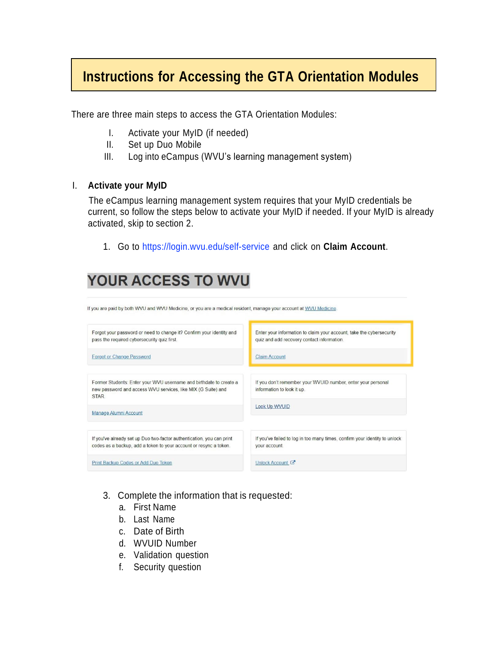## **Instructions for Accessing the GTA Orientation Modules**

There are three main steps to access the GTA Orientation Modules:

- I. Activate your MyID (if needed)
- II. Set up Duo Mobile
- III. Log into eCampus (WVU's learning management system)

### I. **Activate your MyID**

The eCampus learning management system requires that your MyID credentials be current, so follow the steps below to activate your MyID if needed. If your MyID is already activated, skip to section 2.

1. Go to [https://login.wvu.edu/self-service](https://login.wvu.edu/self-service/) and click on **Claim Account**.

# YOUR ACCESS TO WVU

| If you are paid by both WVU and WVU Medicine, or you are a medical resident, manage your account at WVU Medicine.                           |                                                                                                                    |
|---------------------------------------------------------------------------------------------------------------------------------------------|--------------------------------------------------------------------------------------------------------------------|
| Forgot your password or need to change it? Confirm your identity and<br>pass the required cybersecurity quiz first.                         | Enter your information to claim your account, take the cybersecurity<br>quiz and add recovery contact information. |
| <b>Forgot or Change Password</b>                                                                                                            | <b>Claim Account</b>                                                                                               |
| Former Students: Enter your WVU username and birthdate to create a<br>new password and access WVU services, like MIX (G Suite) and<br>STAR. | If you don't remember your WVUID number, enter your personal<br>information to look it up.                         |
| Manage Alumni Account                                                                                                                       | Look Up WVUID                                                                                                      |
| If you've already set up Duo two-factor authentication, you can print<br>codes as a backup, add a token to your account or resync a token.  | If you've failed to log in too many times, confirm your identity to unlock<br>your account.                        |
| Print Backup Codes or Add Duo Token                                                                                                         | Unlock Account C                                                                                                   |

- 3. Complete the information that is requested:
	- a. First Name
	- b. Last Name
	- c. Date of Birth
	- d. WVUID Number
	- e. Validation question
	- f. Security question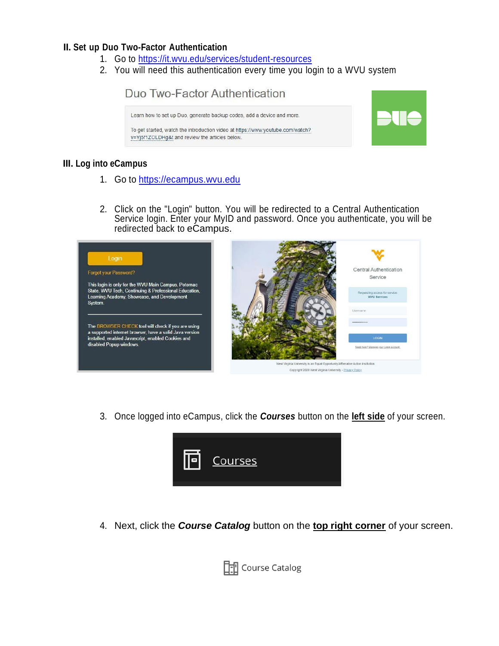#### **II. Set up Duo Two-Factor Authentication**

- 1. Go to <https://it.wvu.edu/services/student-resources>
- 2. You will need this authentication every time you login to a WVU system



#### **III. Log into eCampus**

- 1. Go to [https://ecampus.wvu.edu](https://ecampus.wvu.edu/)
- 2. Click on the "Login" button. You will be redirected to a Central Authentication Service login. Enter your MyID and password. Once you authenticate, you will be redirected back to eCampus.



3. Once logged into eCampus, click the *Courses* button on the **left side** of your screen.



4. Next, click the *Course Catalog* button on the **top right corner** of your screen.